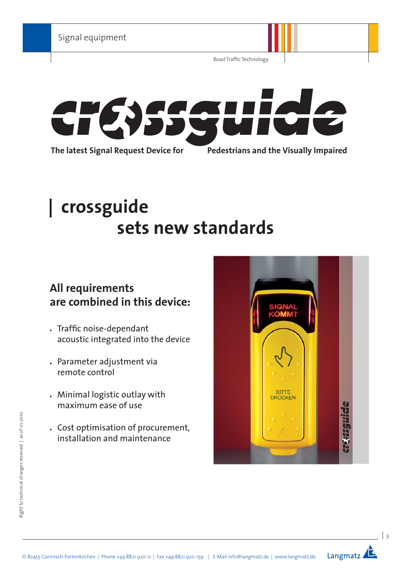Road Traffic Technology



# **| crossguide sets new standards**

# **All requirements are combined in this device:**

- . Traffic noise-dependant acoustic integrated into the device
- Parameter adjustment via remote control
- Minimal logistic outlay with maximum ease of use
- Cost optimisation of procurement, installation and maintenance



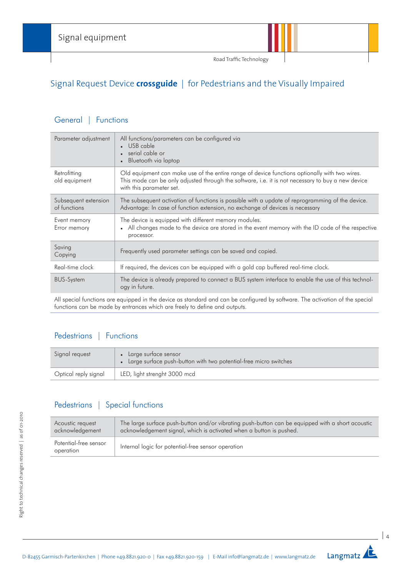

# Signal Request Device **crossguide** | for Pedestrians and the Visually Impaired

### General | Functions

| Parameter adjustment                 | All functions/parameters can be configured via<br>USB cable<br>serial cable or<br>Bluetooth via laptop                                                                                                                         |
|--------------------------------------|--------------------------------------------------------------------------------------------------------------------------------------------------------------------------------------------------------------------------------|
| Retrofitting<br>old equipment        | Old equipment can make use of the entire range of device functions optionally with two wires.<br>This mode can be only adjusted through the software, i.e. it is not necessary to buy a new device<br>with this parameter set. |
| Subsequent extension<br>of functions | The subsequent activation of functions is possible with a update of reprogramming of the device.<br>Advantage: In case of function extension, no exchange of devices is necessary                                              |
| Event memory<br>Error memory         | The device is equipped with different memory modules.<br>• All changes made to the device are stored in the event memory with the ID code of the respective<br>processor.                                                      |
| Saving<br>Copying                    | Frequently used parameter settings can be saved and copied.                                                                                                                                                                    |
| Real-time clock                      | If required, the devices can be equipped with a gold cap buffered real-time clock.                                                                                                                                             |
| <b>BUS-System</b>                    | The device is already prepared to connect a BUS system interface to enable the use of this technol-<br>ogy in future.                                                                                                          |

All special functions are equipped in the device as standard and can be configured by software. The activation of the special functions can be made by entrances which are freely to define and outputs.

# Pedestrians | Functions

| Signal request       | Large surtace sensor<br>• Large surface push-button with two potential-free micro switches |
|----------------------|--------------------------------------------------------------------------------------------|
| Optical reply signal | LED, light strenght 3000 mcd                                                               |

# Pedestrians | Special functions

| Acoustic request                   | The large surface push-button and/or vibrating push-button can be equipped with a short acoustic |
|------------------------------------|--------------------------------------------------------------------------------------------------|
| acknowledgement                    | acknowledgement signal, which is activated when a button is pushed.                              |
| Potential-free sensor<br>operation | Internal logic for potential-free sensor operation                                               |

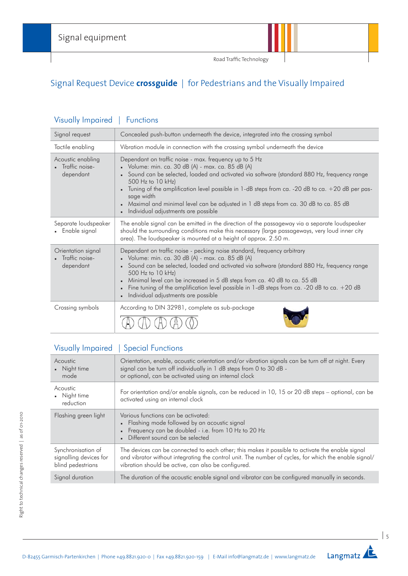Road Traffic Technology

# Signal Request Device **crossguide** | for Pedestrians and the Visually Impaired

| Signal request                                      | Concealed push-button underneath the device, integrated into the crossing symbol                                                                                                                                                                                                                                                                                                                                                                                                  |
|-----------------------------------------------------|-----------------------------------------------------------------------------------------------------------------------------------------------------------------------------------------------------------------------------------------------------------------------------------------------------------------------------------------------------------------------------------------------------------------------------------------------------------------------------------|
| Tactile enabling                                    | Vibration module in connection with the crossing symbol underneath the device                                                                                                                                                                                                                                                                                                                                                                                                     |
| Acoustic enabling<br>• Traffic noise-<br>dependant  | Dependant on traffic noise - max. frequency up to 5 Hz<br>Volume: min. ca. 30 dB $(A)$ - max. ca. 85 dB $(A)$<br>• Sound can be selected, loaded and activated via software (standard 880 Hz, frequency range<br>500 Hz to 10 kHz)<br>Tuning of the amplification level possible in 1-dB steps from ca. -20 dB to ca. +20 dB per pas-<br>sage width<br>Maximal and minimal level can be adjusted in 1 dB steps from ca. 30 dB to ca. 85 dB<br>Individual adjustments are possible |
| Separate loudspeaker<br>• Enable signal             | The enable signal can be emitted in the direction of the passageway via a separate loudspeaker<br>should the surrounding conditions make this necessary (large passageways, very loud inner city<br>area). The loudspeaker is mounted at a height of approx. 2.50 m.                                                                                                                                                                                                              |
| Orientation signal<br>- Traffic noise-<br>dependant | Dependant on traffic noise - pecking noise standard, frequency arbitrary<br>Volume: min. ca. 30 dB $(A)$ - max. ca. 85 dB $(A)$<br>• Sound can be selected, loaded and activated via software (standard 880 Hz, frequency range<br>500 Hz to 10 kHz)<br>Minimal level can be increased in 5 dB steps from ca. 40 dB to ca. 55 dB<br>Fine tuning of the amplification level possible in 1-dB steps from ca. -20 dB to ca. +20 dB<br>Individual adjustments are possible            |
| Crossing symbols                                    | According to DIN 32981, complete as sub-package                                                                                                                                                                                                                                                                                                                                                                                                                                   |

# Visually Impaired | Functions

| Visually Impaired   Special Functions |  |
|---------------------------------------|--|
|                                       |  |

| <b>Acoustic</b><br>• Night time<br>mode                           | Orientation, enable, acoustic orientation and/or vibration signals can be turn off at night. Every<br>signal can be turn off individually in 1 dB steps from 0 to 30 dB -<br>or optional, can be activated using an internal clock                               |
|-------------------------------------------------------------------|------------------------------------------------------------------------------------------------------------------------------------------------------------------------------------------------------------------------------------------------------------------|
| Acoustic<br>• Night time<br>reduction                             | For orientation and/or enable signals, can be reduced in 10, 15 or 20 dB steps - optional, can be<br>activated using an internal clock                                                                                                                           |
| Flashing green light                                              | Various functions can be activated:<br>• Flashing mode followed by an acoustic signal<br>• Frequency can be doubled - i.e. from 10 Hz to 20 Hz<br>Different sound can be selected                                                                                |
| Synchronisation of<br>signalling devices for<br>blind pedestrians | The devices can be connected to each other; this makes it possible to activate the enable signal<br>and vibrator without integrating the control unit. The number of cycles, for which the enable signal/<br>vibration should be active, can also be configured. |
| Signal duration                                                   | The duration of the acoustic enable signal and vibrator can be configured manually in seconds.                                                                                                                                                                   |